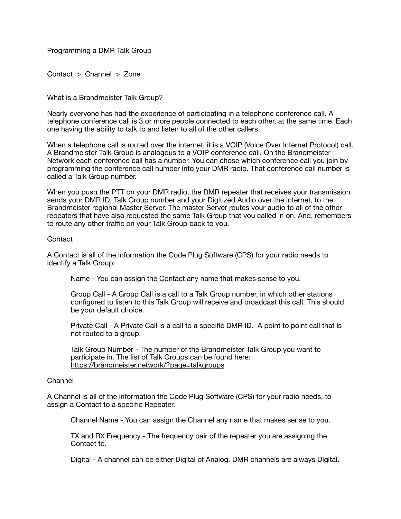Programming a DMR Talk Group

Contact > Channel > Zone

What is a Brandmeister Talk Group?

Nearly everyone has had the experience of participating in a telephone conference call. A telephone conference call is 3 or more people connected to each other, at the same time. Each one having the ability to talk to and listen to all of the other callers.

When a telephone call is routed over the internet, it is a VOIP (Voice Over Internet Protocol) call. A Brandmeister Talk Group is analogous to a VOIP conference call. On the Brandmeister Network each conference call has a number. You can chose which conference call you join by programming the conference call number into your DMR radio. That conference call number is called a Talk Group number.

When you push the PTT on your DMR radio, the DMR repeater that receives your transmission sends your DMR ID, Talk Group number and your Digitized Audio over the internet, to the Brandmeister regional Master Server. The master Server routes your audio to all of the other repeaters that have also requested the same Talk Group that you called in on. And, remembers to route any other traffic on your Talk Group back to you.

# **Contact**

A Contact is all of the information the Code Plug Software (CPS) for your radio needs to identify a Talk Group:

Name - You can assign the Contact any name that makes sense to you.

Group Call - A Group Call is a call to a Talk Group number, in which other stations configured to listen to this Talk Group will receive and broadcast this call. This should be your default choice.

Private Call - A Private Call is a call to a specific DMR ID. A point to point call that is not routed to a group. 

Talk Group Number - The number of the Brandmeister Talk Group you want to participate in. The list of Talk Groups can be found here: <https://brandmeister.network/?page=talkgroups>

#### Channel

A Channel is all of the information the Code Plug Software (CPS) for your radio needs, to assign a Contact to a specific Repeater.

Channel Name - You can assign the Channel any name that makes sense to you.

TX and RX Frequency - The frequency pair of the repeater you are assigning the Contact to.

Digital - A channel can be either Digital of Analog. DMR channels are always Digital.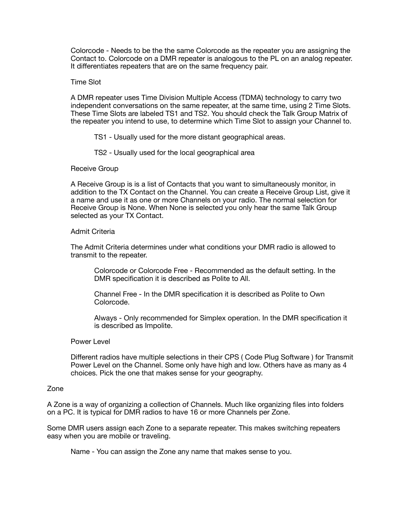Colorcode - Needs to be the the same Colorcode as the repeater you are assigning the Contact to. Colorcode on a DMR repeater is analogous to the PL on an analog repeater. It differentiates repeaters that are on the same frequency pair.

## Time Slot

A DMR repeater uses Time Division Multiple Access (TDMA) technology to carry two independent conversations on the same repeater, at the same time, using 2 Time Slots. These Time Slots are labeled TS1 and TS2. You should check the Talk Group Matrix of the repeater you intend to use, to determine which Time Slot to assign your Channel to.

 TS1 - Usually used for the more distant geographical areas.

 TS2 - Usually used for the local geographical area

### Receive Group

A Receive Group is is a list of Contacts that you want to simultaneously monitor, in addition to the TX Contact on the Channel. You can create a Receive Group List, give it a name and use it as one or more Channels on your radio. The normal selection for Receive Group is None. When None is selected you only hear the same Talk Group selected as your TX Contact.

### Admit Criteria

The Admit Criteria determines under what conditions your DMR radio is allowed to transmit to the repeater.

 Colorcode or Colorcode Free - Recommended as the default setting. In the DMR specification it is described as Polite to All.

 Channel Free - In the DMR specification it is described as Polite to Own Colorcode.

 Always - Only recommended for Simplex operation. In the DMR specification it is described as Impolite.

#### Power Level

Different radios have multiple selections in their CPS ( Code Plug Software ) for Transmit Power Level on the Channel. Some only have high and low. Others have as many as 4 choices. Pick the one that makes sense for your geography.

### Zone

A Zone is a way of organizing a collection of Channels. Much like organizing files into folders on a PC. It is typical for DMR radios to have 16 or more Channels per Zone.

Some DMR users assign each Zone to a separate repeater. This makes switching repeaters easy when you are mobile or traveling.

Name - You can assign the Zone any name that makes sense to you.